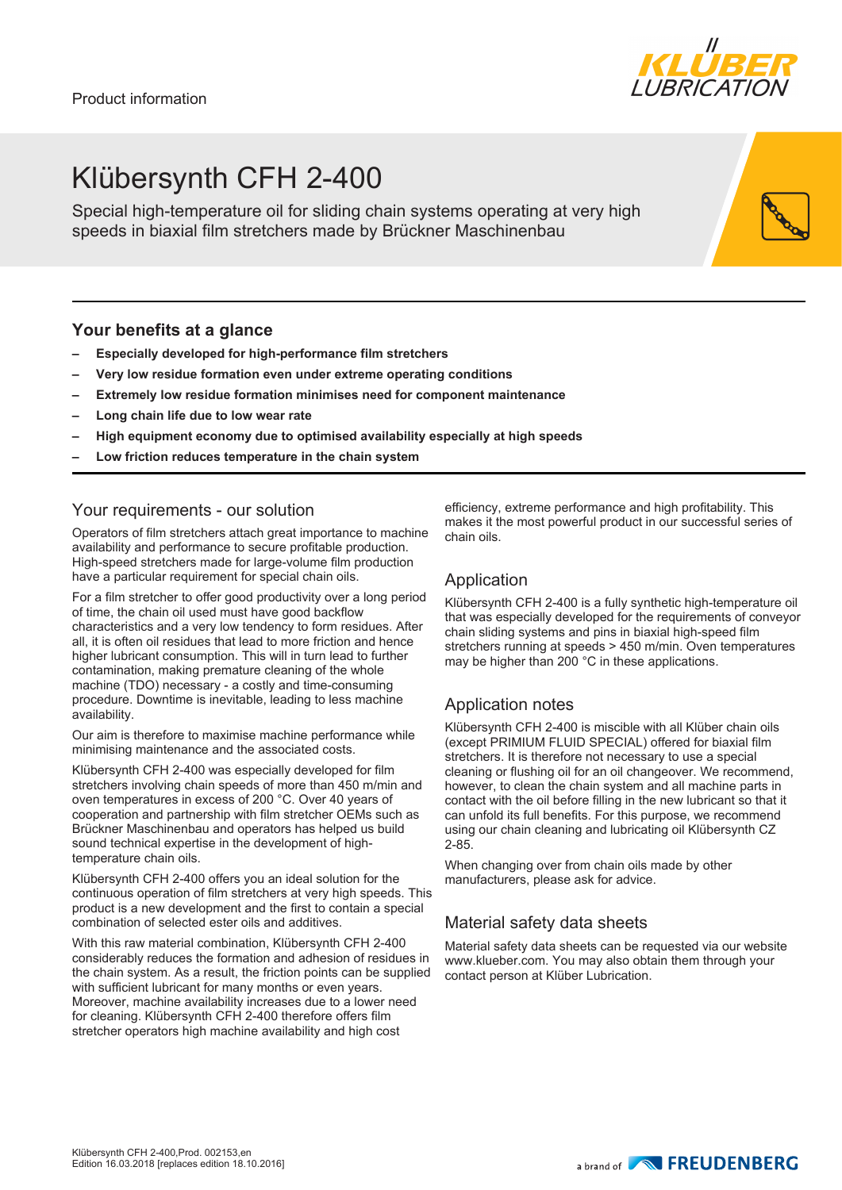# Klübersynth CFH 2-400

Special high-temperature oil for sliding chain systems operating at very high speeds in biaxial film stretchers made by Brückner Maschinenbau

# **Your benefits at a glance**

- **– Especially developed for high-performance film stretchers**
- **– Very low residue formation even under extreme operating conditions**
- **– Extremely low residue formation minimises need for component maintenance**
- **– Long chain life due to low wear rate**
- **– High equipment economy due to optimised availability especially at high speeds**
- **– Low friction reduces temperature in the chain system**

# Your requirements - our solution

Operators of film stretchers attach great importance to machine availability and performance to secure profitable production. High-speed stretchers made for large-volume film production have a particular requirement for special chain oils.

For a film stretcher to offer good productivity over a long period of time, the chain oil used must have good backflow characteristics and a very low tendency to form residues. After all, it is often oil residues that lead to more friction and hence higher lubricant consumption. This will in turn lead to further contamination, making premature cleaning of the whole machine (TDO) necessary - a costly and time-consuming procedure. Downtime is inevitable, leading to less machine availability.

Our aim is therefore to maximise machine performance while minimising maintenance and the associated costs.

Klübersynth CFH 2-400 was especially developed for film stretchers involving chain speeds of more than 450 m/min and oven temperatures in excess of 200 °C. Over 40 years of cooperation and partnership with film stretcher OEMs such as Brückner Maschinenbau and operators has helped us build sound technical expertise in the development of hightemperature chain oils.

Klübersynth CFH 2-400 offers you an ideal solution for the continuous operation of film stretchers at very high speeds. This product is a new development and the first to contain a special combination of selected ester oils and additives.

With this raw material combination, Klübersynth CFH 2-400 considerably reduces the formation and adhesion of residues in the chain system. As a result, the friction points can be supplied with sufficient lubricant for many months or even years. Moreover, machine availability increases due to a lower need for cleaning. Klübersynth CFH 2-400 therefore offers film stretcher operators high machine availability and high cost

efficiency, extreme performance and high profitability. This makes it the most powerful product in our successful series of chain oils.

### Application

Klübersynth CFH 2-400 is a fully synthetic high-temperature oil that was especially developed for the requirements of conveyor chain sliding systems and pins in biaxial high-speed film stretchers running at speeds > 450 m/min. Oven temperatures may be higher than 200 °C in these applications.

#### Application notes

Klübersynth CFH 2-400 is miscible with all Klüber chain oils (except PRIMIUM FLUID SPECIAL) offered for biaxial film stretchers. It is therefore not necessary to use a special cleaning or flushing oil for an oil changeover. We recommend, however, to clean the chain system and all machine parts in contact with the oil before filling in the new lubricant so that it can unfold its full benefits. For this purpose, we recommend using our chain cleaning and lubricating oil Klübersynth CZ 2-85.

When changing over from chain oils made by other manufacturers, please ask for advice.

# Material safety data sheets

Material safety data sheets can be requested via our website www.klueber.com. You may also obtain them through your contact person at Klüber Lubrication.